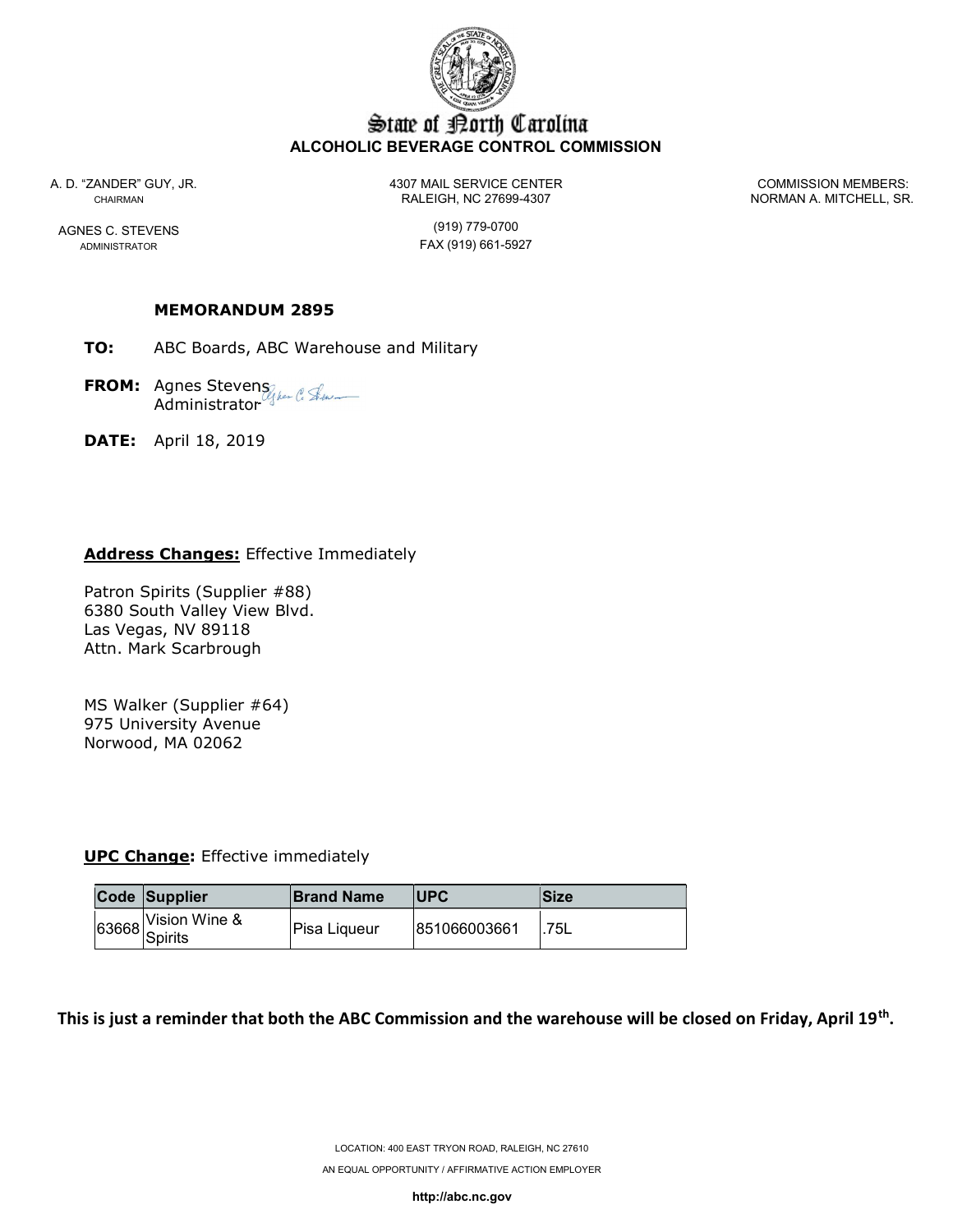

# State of Borth Carolina ALCOHOLIC BEVERAGE CONTROL COMMISSION

ADMINISTRATOR **FAX** (919) 661-5927

A. D. "ZANDER" GUY, JR. 4307 MAIL SERVICE CENTER COMMISSION MEMBERS: CHAIRMAN CHAIRMAN RALEIGH, NC 27699-4307 NORMAN A. MITCHELL, SR.

AGNES C. STEVENS (919) 779-0700

#### MEMORANDUM 2895

TO: ABC Boards, ABC Warehouse and Military

**FROM:** Agnes Stevens Administrator

DATE: April 18, 2019

#### Address Changes: Effective Immediately

Patron Spirits (Supplier #88) 6380 South Valley View Blvd. Las Vegas, NV 89118 Attn. Mark Scarbrough

MS Walker (Supplier #64) 975 University Avenue Norwood, MA 02062

**UPC Change:** Effective immediately

| Code Supplier                  | <b>Brand Name</b> | <b>IUPC</b>  | lSize |
|--------------------------------|-------------------|--------------|-------|
| J3668 Vision Wine &<br>Spirits | lPisa Ligueur     | 851066003661 | 75L   |

This is just a reminder that both the ABC Commission and the warehouse will be closed on Friday, April 19<sup>th</sup>.

http://abc.nc.gov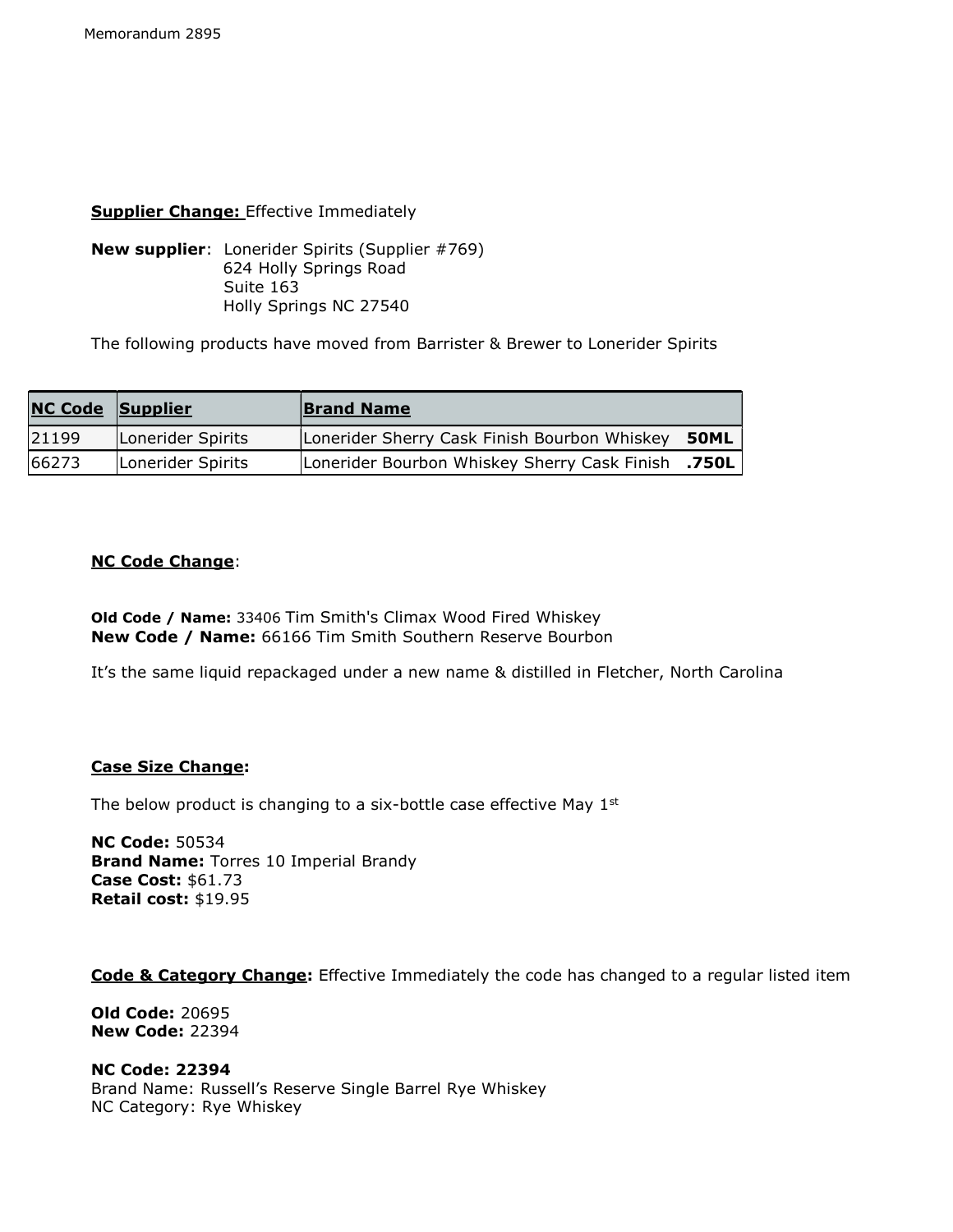### **Supplier Change:** Effective Immediately

New supplier: Lonerider Spirits (Supplier #769) 624 Holly Springs Road Suite 163 Holly Springs NC 27540

The following products have moved from Barrister & Brewer to Lonerider Spirits

| <b>NC Code Supplier</b> |                   | <b>Brand Name</b>                            |       |
|-------------------------|-------------------|----------------------------------------------|-------|
| 21199                   | Lonerider Spirits | Lonerider Sherry Cask Finish Bourbon Whiskey | 50ML  |
| 66273                   | Lonerider Spirits | Lonerider Bourbon Whiskey Sherry Cask Finish | .750L |

# NC Code Change:

Old Code / Name: 33406 Tim Smith's Climax Wood Fired Whiskey New Code / Name: 66166 Tim Smith Southern Reserve Bourbon

It's the same liquid repackaged under a new name & distilled in Fletcher, North Carolina

# Case Size Change:

The below product is changing to a six-bottle case effective May 1st

NC Code: 50534 **Brand Name: Torres 10 Imperial Brandy** Case Cost: \$61.73 Retail cost: \$19.95

Code & Category Change: Effective Immediately the code has changed to a regular listed item

Old Code: 20695 New Code: 22394

NC Code: 22394 Brand Name: Russell's Reserve Single Barrel Rye Whiskey NC Category: Rye Whiskey